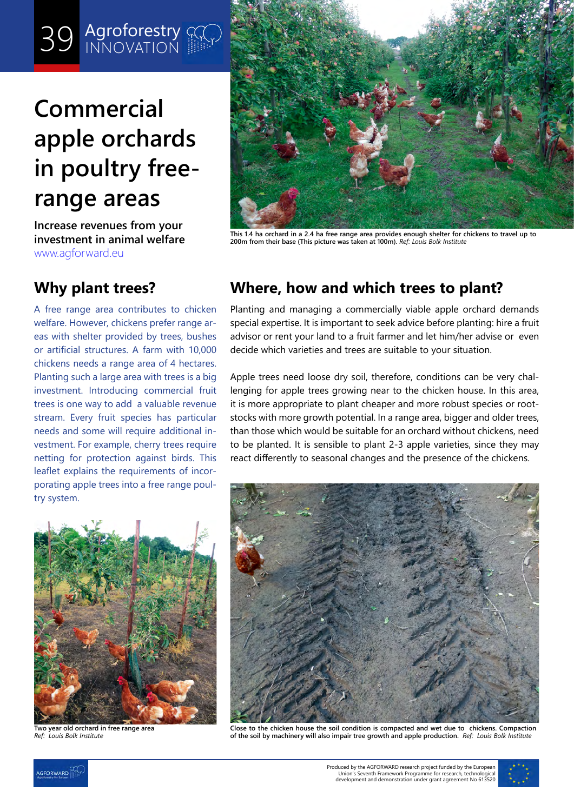## 39 Agrofores<sup>t</sup> **39** Agroforestry

# **Commercial apple orchards in poultry freerange areas**

**Increase revenues from your investment in animal welfare** [www.agforward.eu](https://www.agforward.eu/index.php/en/)



**This 1.4 ha orchard in a 2.4 ha free range area provides enough shelter for chickens to travel up to 200m from their base (This picture was taken at 100m).** *Ref: Louis Bolk Institute*

A free range area contributes to chicken welfare. However, chickens prefer range areas with shelter provided by trees, bushes or artificial structures. A farm with 10,000 chickens needs a range area of 4 hectares. Planting such a large area with trees is a big investment. Introducing commercial fruit trees is one way to add a valuable revenue stream. Every fruit species has particular needs and some will require additional investment. For example, cherry trees require netting for protection against birds. This leaflet explains the requirements of incorporating apple trees into a free range poultry system.

## **Why plant trees? Where, how and which trees to plant?**

Planting and managing a commercially viable apple orchard demands special expertise. It is important to seek advice before planting: hire a fruit advisor or rent your land to a fruit farmer and let him/her advise or even decide which varieties and trees are suitable to your situation.

Apple trees need loose dry soil, therefore, conditions can be very challenging for apple trees growing near to the chicken house. In this area, it is more appropriate to plant cheaper and more robust species or rootstocks with more growth potential. In a range area, bigger and older trees, than those which would be suitable for an orchard without chickens, need to be planted. It is sensible to plant 2-3 apple varieties, since they may react differently to seasonal changes and the presence of the chickens.



**Two year old orchard in free range area** *Ref: Louis Bolk Institute*



**Close to the chicken house the soil condition is compacted and wet due to chickens. Compaction of the soil by machinery will also impair tree growth and apple production.** *Ref: Louis Bolk Institute*